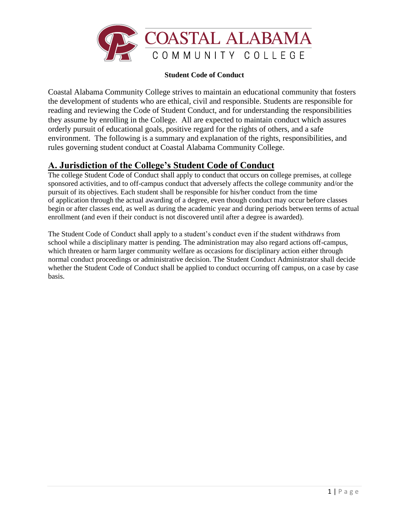

#### **Student Code of Conduct**

Coastal Alabama Community College strives to maintain an educational community that fosters the development of students who are ethical, civil and responsible. Students are responsible for reading and reviewing the Code of Student Conduct, and for understanding the responsibilities they assume by enrolling in the College. All are expected to maintain conduct which assures orderly pursuit of educational goals, positive regard for the rights of others, and a safe environment. The following is a summary and explanation of the rights, responsibilities, and rules governing student conduct at Coastal Alabama Community College.

## **A. Jurisdiction of the College's Student Code of Conduct**

The college Student Code of Conduct shall apply to conduct that occurs on college premises, at college sponsored activities, and to off-campus conduct that adversely affects the college community and/or the pursuit of its objectives. Each student shall be responsible for his/her conduct from the time of application through the actual awarding of a degree, even though conduct may occur before classes begin or after classes end, as well as during the academic year and during periods between terms of actual enrollment (and even if their conduct is not discovered until after a degree is awarded).

The Student Code of Conduct shall apply to a student's conduct even if the student withdraws from school while a disciplinary matter is pending. The administration may also regard actions off-campus, which threaten or harm larger community welfare as occasions for disciplinary action either through normal conduct proceedings or administrative decision. The Student Conduct Administrator shall decide whether the Student Code of Conduct shall be applied to conduct occurring off campus, on a case by case basis.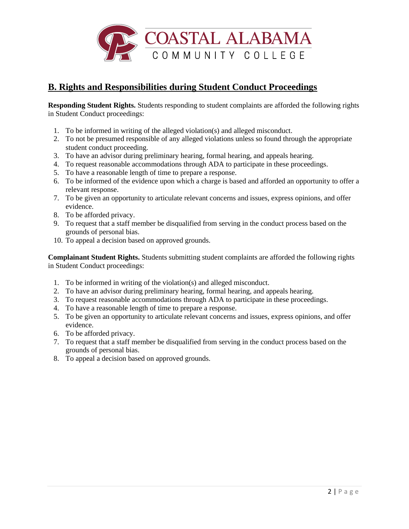

## **B. Rights and Responsibilities during Student Conduct Proceedings**

**Responding Student Rights.** Students responding to student complaints are afforded the following rights in Student Conduct proceedings:

- 1. To be informed in writing of the alleged violation(s) and alleged misconduct.
- 2. To not be presumed responsible of any alleged violations unless so found through the appropriate student conduct proceeding.
- 3. To have an advisor during preliminary hearing, formal hearing, and appeals hearing.
- 4. To request reasonable accommodations through ADA to participate in these proceedings.
- 5. To have a reasonable length of time to prepare a response.
- 6. To be informed of the evidence upon which a charge is based and afforded an opportunity to offer a relevant response.
- 7. To be given an opportunity to articulate relevant concerns and issues, express opinions, and offer evidence.
- 8. To be afforded privacy.
- 9. To request that a staff member be disqualified from serving in the conduct process based on the grounds of personal bias.
- 10. To appeal a decision based on approved grounds.

**Complainant Student Rights.** Students submitting student complaints are afforded the following rights in Student Conduct proceedings:

- 1. To be informed in writing of the violation(s) and alleged misconduct.
- 2. To have an advisor during preliminary hearing, formal hearing, and appeals hearing.
- 3. To request reasonable accommodations through ADA to participate in these proceedings.
- 4. To have a reasonable length of time to prepare a response.
- 5. To be given an opportunity to articulate relevant concerns and issues, express opinions, and offer evidence.
- 6. To be afforded privacy.
- 7. To request that a staff member be disqualified from serving in the conduct process based on the grounds of personal bias.
- 8. To appeal a decision based on approved grounds.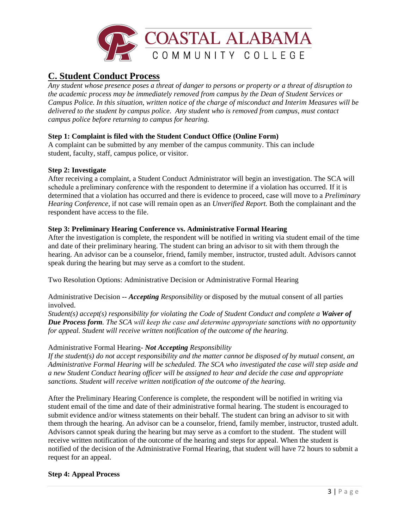

## **C. Student Conduct Process**

*Any student whose presence poses a threat of danger to persons or property or a threat of disruption to the academic process may be immediately removed from campus by the Dean of Student Services or Campus Police. In this situation, written notice of the charge of misconduct and Interim Measures will be delivered to the student by campus police. Any student who is removed from campus, must contact campus police before returning to campus for hearing.*

## **Step 1: Complaint is filed with the Student Conduct Office (Online Form)**

A complaint can be submitted by any member of the campus community. This can include student, faculty, staff, campus police, or visitor.

### **Step 2: Investigate**

[After receiving a complaint,](https://studentconduct.osu.edu/for-students/understanding-the-student-conduct-process/complaint/) a Student Conduct Administrator will begin an investigation. The SCA will schedule a preliminary conference with the respondent to determine if a violation has occurred. If it is determined that a violation has occurred and there is evidence to proceed, case will move to a *Preliminary Hearing Conference*, if not case will remain open as an *Unverified Report.* Both the complainant and the respondent have access to the file.

### **Step 3: Preliminary Hearing Conference vs. Administrative Formal Hearing**

After the investigation is complete, the respondent will be notified in writing via student email of the time and date of their preliminary hearing. The student can bring an advisor to sit with them through the hearing. An advisor can be a counselor, friend, family member, instructor, trusted adult. Advisors cannot speak during the hearing but may serve as a comfort to the student.

Two Resolution Options: Administrative Decision or Administrative Formal Hearing

Administrative Decision -- *Accepting Responsibility* or disposed by the mutual consent of all parties involved.

*Student(s) accept(s) responsibility for violating the Code of Student Conduct and complete a Waiver of Due Process form. The SCA will keep the case and determine appropriat[e sanctions](https://studentconduct.osu.edu/for-students/understanding-the-student-conduct-process/sanctions/) with no opportunity for appeal. Student will receive written notification of the outcome of the hearing.*

### Administrative Formal Hearing- *Not Accepting Responsibility*

*If the student(s) do not accept responsibility and the matter cannot be disposed of by mutual consent, an Administrative Formal Hearing will be scheduled. The SCA who investigated the case will step aside and a new Student Conduct hearing officer will be assigned to hear and decide the case and appropriate sanctions. Student will receive written notification of the outcome of the hearing.*

After the Preliminary Hearing Conference is complete, the respondent will be notified in writing via student email of the time and date of their administrative formal hearing. The student is encouraged to submit evidence and/or witness statements on their behalf. The student can bring an advisor to sit with them through the hearing. An advisor can be a counselor, friend, family member, instructor, trusted adult. Advisors cannot speak during the hearing but may serve as a comfort to the student. The student will receive written notification of the outcome of the hearing and steps for appeal. When the student is notified of the decision of the Administrative Formal Hearing, that student will have 72 hours to submit a request for an appeal.

### **Step 4: Appeal Process**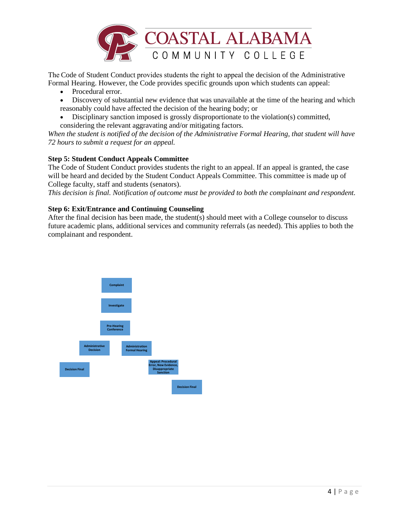

Th[e Code of Student Conduct](http://trustees.osu.edu/rules/code-of-student-conduct/3335-23-18.html)provides students the right to appeal the decision of the Administrative Formal Hearing. However, the Code provides specific grounds upon which students can appeal:

- Procedural error.
- Discovery of substantial new evidence that was unavailable at the time of the hearing and which reasonably could have affected the decision of the hearing body; or
- Disciplinary sanction imposed is grossly disproportionate to the violation(s) committed, considering the relevant aggravating and/or mitigating factors.

*When the student is notified of the decision of the Administrative Formal Hearing, that student will have 72 hours to submit a request for an appeal.*

### **Step 5: Student Conduct Appeals Committee**

The Code of Student Conduct provides students the right to an appeal. If an appeal is granted, the case will be heard and decided by the Student Conduct Appeals Committee. This committee is made up of College faculty, staff and students (senators).

*This decision is final. Notification of outcome must be provided to both the complainant and respondent.*

### **Step 6: Exit/Entrance and Continuing Counseling**

After the final decision has been made, the student(s) should meet with a College counselor to discuss future academic plans, additional services and community referrals (as needed). This applies to both the complainant and respondent.

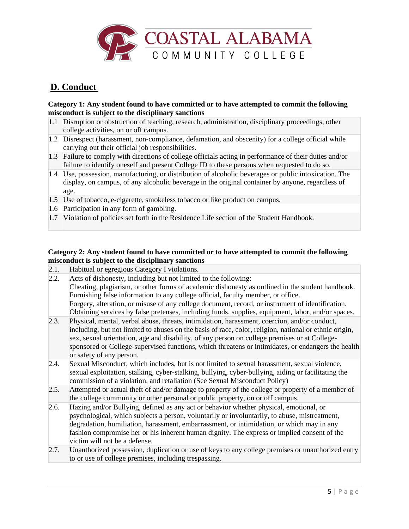

# **D. Conduct**

#### **Category 1: Any student found to have committed or to have attempted to commit the following misconduct is subject to the disciplinary sanctions**

- 1.1 Disruption or obstruction of teaching, research, administration, disciplinary proceedings, other college activities, on or off campus.
- 1.2 Disrespect (harassment, non-compliance, defamation, and obscenity) for a college official while carrying out their official job responsibilities.
- 1.3 Failure to comply with directions of college officials acting in performance of their duties and/or failure to identify oneself and present College ID to these persons when requested to do so.
- 1.4 Use, possession, manufacturing, or distribution of alcoholic beverages or public intoxication. The display, on campus, of any alcoholic beverage in the original container by anyone, regardless of age.
- 1.5 Use of tobacco, e-cigarette, smokeless tobacco or like product on campus.
- 1.6 Participation in any form of gambling.
- 1.7 Violation of policies set forth in the Residence Life section of the Student Handbook.

### **Category 2: Any student found to have committed or to have attempted to commit the following misconduct is subject to the disciplinary sanctions**

- 2.1. Habitual or egregious Category I violations.
- 2.2. Acts of dishonesty, including but not limited to the following: Cheating, plagiarism, or other forms of academic dishonesty as outlined in the student handbook. Furnishing false information to any college official, faculty member, or office. Forgery, alteration, or misuse of any college document, record, or instrument of identification. Obtaining services by false pretenses, including funds, supplies, equipment, labor, and/or spaces.
- 2.3. Physical, mental, verbal abuse, threats, intimidation, harassment, coercion, and/or conduct, including, but not limited to abuses on the basis of race, color, religion, national or ethnic origin, sex, sexual orientation, age and disability, of any person on college premises or at Collegesponsored or College-supervised functions, which threatens or intimidates, or endangers the health or safety of any person.
- 2.4. Sexual Misconduct, which includes, but is not limited to sexual harassment, sexual violence, sexual exploitation, stalking, cyber-stalking, bullying, cyber-bullying, aiding or facilitating the commission of a violation, and retaliation (See Sexual Misconduct Policy)
- 2.5. Attempted or actual theft of and/or damage to property of the college or property of a member of the college community or other personal or public property, on or off campus.
- 2.6. Hazing and/or Bullying, defined as any act or behavior whether physical, emotional, or psychological, which subjects a person, voluntarily or involuntarily, to abuse, mistreatment, degradation, humiliation, harassment, embarrassment, or intimidation, or which may in any fashion compromise her or his inherent human dignity. The express or implied consent of the victim will not be a defense.
- 2.7. Unauthorized possession, duplication or use of keys to any college premises or unauthorized entry to or use of college premises, including trespassing.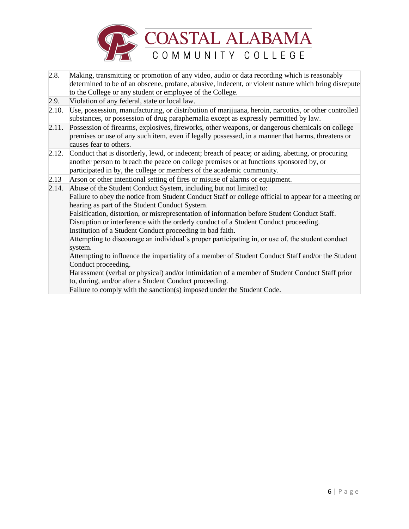

- 2.8. Making, transmitting or promotion of any video, audio or data recording which is reasonably determined to be of an obscene, profane, abusive, indecent, or violent nature which bring disrepute to the College or any student or employee of the College.
- 2.9. Violation of any federal, state or local law.
- 2.10. Use, possession, manufacturing, or distribution of marijuana, heroin, narcotics, or other controlled substances, or possession of drug paraphernalia except as expressly permitted by law.
- 2.11. Possession of firearms, explosives, fireworks, other weapons, or dangerous chemicals on college premises or use of any such item, even if legally possessed, in a manner that harms, threatens or causes fear to others.
- 2.12. Conduct that is disorderly, lewd, or indecent; breach of peace; or aiding, abetting, or procuring another person to breach the peace on college premises or at functions sponsored by, or participated in by, the college or members of the academic community.
- 2.13 Arson or other intentional setting of fires or misuse of alarms or equipment.

2.14. Abuse of the Student Conduct System, including but not limited to: Failure to obey the notice from Student Conduct Staff or college official to appear for a meeting or hearing as part of the Student Conduct System. Falsification, distortion, or misrepresentation of information before Student Conduct Staff. Disruption or interference with the orderly conduct of a Student Conduct proceeding. Institution of a Student Conduct proceeding in bad faith. Attempting to discourage an individual's proper participating in, or use of, the student conduct system. Attempting to influence the impartiality of a member of Student Conduct Staff and/or the Student Conduct proceeding. Harassment (verbal or physical) and/or intimidation of a member of Student Conduct Staff prior to, during, and/or after a Student Conduct proceeding.

Failure to comply with the sanction(s) imposed under the Student Code.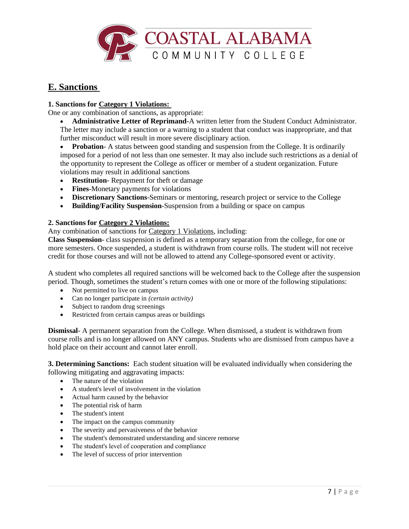

## **E. Sanctions**

## **1. Sanctions for Category 1 Violations:**

One or any combination of sanctions, as appropriate:

- **Administrative Letter of Reprimand-**A written letter from the Student Conduct Administrator. The letter may include a sanction or a warning to a student that conduct was inappropriate, and that further misconduct will result in more severe disciplinary action.
- **Probation** A status between good standing and suspension from the College. It is ordinarily imposed for a period of not less than one semester. It may also include such restrictions as a denial of the opportunity to represent the College as officer or member of a student organization. Future violations may result in additional sanctions
- **Restitution** Repayment for theft or damage
- **Fines**-Monetary payments for violations
- **Discretionary Sanctions**-Seminars or mentoring, research project or service to the College
- **Building/Facility Suspension**-Suspension from a building or space on campus

### **2. Sanctions for Category 2 Violations:**

Any combination of sanctions for Category 1 Violations, including:

**Class Suspension**- class suspension is defined as a temporary separation from the college, for one or more semesters. Once suspended, a student is withdrawn from course rolls. The student will not receive credit for those courses and will not be allowed to attend any College-sponsored event or activity.

A student who completes all required sanctions will be welcomed back to the College after the suspension period. Though, sometimes the student's return comes with one or more of the following stipulations:

- Not permitted to live on campus
- Can no longer participate in *(certain activity)*
- Subject to random drug screenings
- Restricted from certain campus areas or buildings

**Dismissal**- A permanent separation from the College. When dismissed, a student is withdrawn from course rolls and is no longer allowed on ANY campus. Students who are dismissed from campus have a hold place on their account and cannot later enroll.

**3. Determining Sanctions:** Each student situation will be evaluated individually when considering the following mitigating and aggravating impacts:

- The nature of the violation
- A student's level of involvement in the violation
- Actual harm caused by the behavior
- The potential risk of harm
- The student's intent
- The impact on the campus community
- The severity and pervasiveness of the behavior
- The student's demonstrated understanding and sincere remorse
- The student's level of cooperation and compliance
- The level of success of prior intervention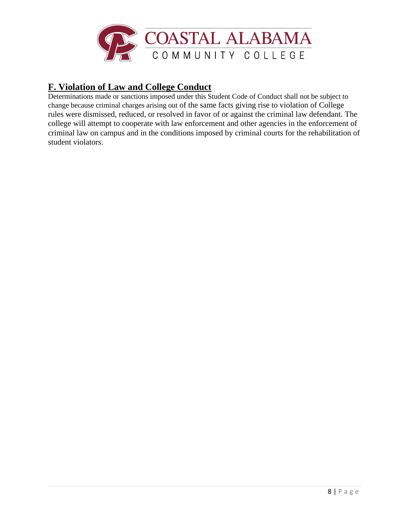

# **F. Violation of Law and College Conduct**

Determinations made or sanctions imposed under this Student Code of Conduct shall not be subject to change because criminal charges arising out of the same facts giving rise to violation of College rules were dismissed, reduced, or resolved in favor of or against the criminal law defendant. The college will attempt to cooperate with law enforcement and other agencies in the enforcement of criminal law on campus and in the conditions imposed by criminal courts for the rehabilitation of student violators.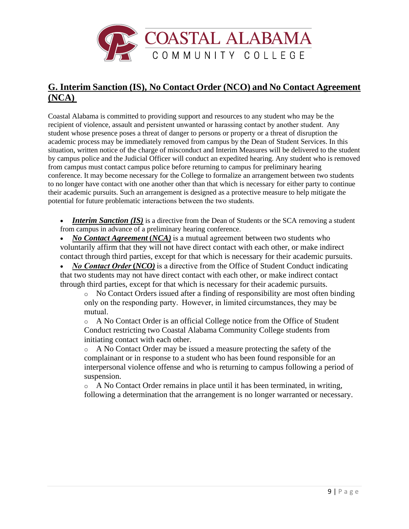

# **G. Interim Sanction (IS), No Contact Order (NCO) and No Contact Agreement (NCA)**

Coastal Alabama is committed to providing support and resources to any student who may be the recipient of violence, assault and persistent unwanted or harassing contact by another student.  Any student whose presence poses a threat of danger to persons or property or a threat of disruption the academic process may be immediately removed from campus by the Dean of Student Services. In this situation, written notice of the charge of misconduct and Interim Measures will be delivered to the student by campus police and the Judicial Officer will conduct an expedited hearing. Any student who is removed from campus must contact campus police before returning to campus for preliminary hearing conference. It may become necessary for the College to formalize an arrangement between two students to no longer have contact with one another other than that which is necessary for either party to continue their academic pursuits. Such an arrangement is designed as a protective measure to help mitigate the potential for future problematic interactions between the two students. 

• *Interim Sanction (IS)* is a directive from the Dean of Students or the SCA removing a student from campus in advance of a preliminary hearing conference.

• *No Contact Agreement***(***NCA)* is a mutual agreement between two students who voluntarily affirm that they will not have direct contact with each other, or make indirect contact through third parties, except for that which is necessary for their academic pursuits.

• *No Contact Order* (*NCO*) is a directive from the Office of Student Conduct indicating that two students may not have direct contact with each other, or make indirect contact through third parties, except for that which is necessary for their academic pursuits.

o No Contact Orders issued after a finding of responsibility are most often binding only on the responding party.  However, in limited circumstances, they may be mutual. 

o A No Contact Order is an official College notice from the Office of Student Conduct restricting two Coastal Alabama Community College students from initiating contact with each other.

o A No Contact Order may be issued a measure protecting the safety of the complainant or in response to a student who has been found responsible for an interpersonal violence offense and who is returning to campus following a period of suspension.

 $\circ$  A No Contact Order remains in place until it has been terminated, in writing, following a determination that the arrangement is no longer warranted or necessary.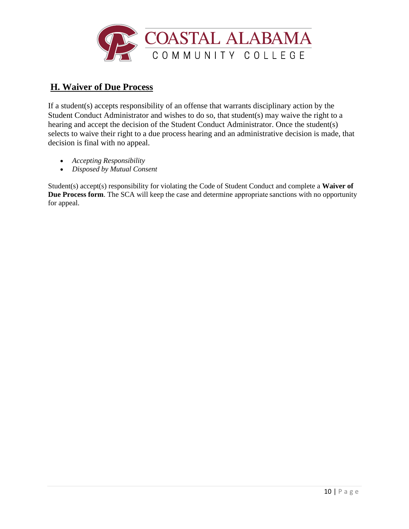

# **H. Waiver of Due Process**

If a student(s) accepts responsibility of an offense that warrants disciplinary action by the Student Conduct Administrator and wishes to do so, that student(s) may waive the right to a hearing and accept the decision of the Student Conduct Administrator. Once the student(s) selects to waive their right to a due process hearing and an administrative decision is made, that decision is final with no appeal.

- *Accepting Responsibility*
- *Disposed by Mutual Consent*

Student(s) accept(s) responsibility for violating the Code of Student Conduct and complete a **Waiver of Due Process form**. The SCA will keep the case and determine appropriat[e sanctions](https://studentconduct.osu.edu/for-students/understanding-the-student-conduct-process/sanctions/) with no opportunity for appeal.